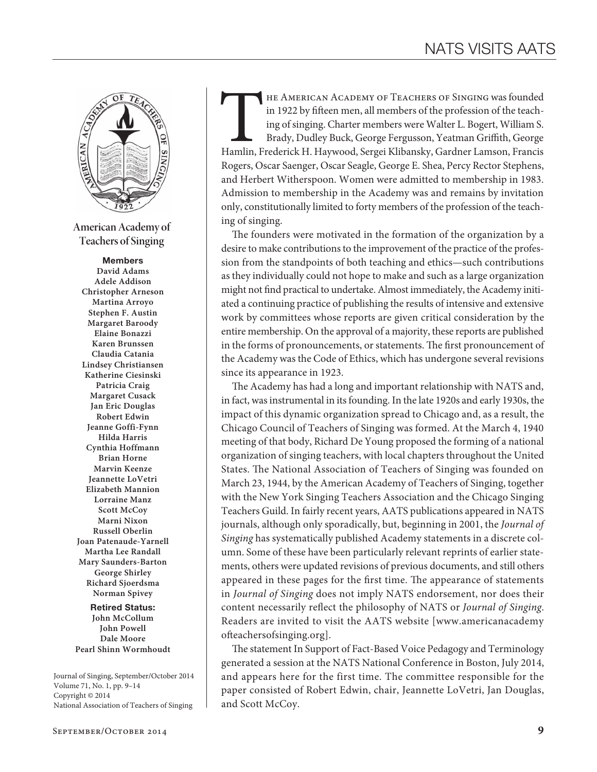

**American Academy of Teachers of Singing**

#### Members

**David Adams Adele Addison Christopher Arneson Martina Arroyo Stephen F. Austin Margaret Baroody Elaine Bonazzi Karen Brunssen Claudia Catania Lindsey Christiansen Katherine Ciesinski Patricia Craig Margaret Cusack Jan Eric Douglas Robert Edwin Jeanne Goffi-Fynn Hilda Harris Cynthia Hoffmann Brian Horne Marvin Keenze Jeannette LoVetri Elizabeth Mannion Lorraine Manz Scott McCoy Marni Nixon Russell Oberlin Joan Patenaude-Yarnell Martha Lee Randall Mary Saunders-Barton George Shirley Richard Sjoerdsma Norman Spivey**

### Retired Status: **John McCollum John Powell Dale Moore Pearl Shinn Wormhoudt**

Journal of Singing, September/October 2014 Volume 71, No. 1, pp. 9–14 Copyright © 2014 National Association of Teachers of Singing

HE AMERICAN ACADEMY OF TEACHERS OF SINGING was founded<br>
in 1922 by fifteen men, all members of the profession of the teaching of singing. Charter members were Walter L. Bogert, William S.<br>
Brady, Dudley Buck, George Fergus in 1922 by fifteen men, all members of the profession of the teaching of singing. Charter members were Walter L. Bogert, William S. Brady, Dudley Buck, George Fergusson, Yeatman Grith, George Rogers, Oscar Saenger, Oscar Seagle, George E. Shea, Percy Rector Stephens, and Herbert Witherspoon. Women were admitted to membership in 1983. Admission to membership in the Academy was and remains by invitation only, constitutionally limited to forty members of the profession of the teaching of singing.

The founders were motivated in the formation of the organization by a desire to make contributions to the improvement of the practice of the profession from the standpoints of both teaching and ethics—such contributions as they individually could not hope to make and such as a large organization might not find practical to undertake. Almost immediately, the Academy initiated a continuing practice of publishing the results of intensive and extensive work by committees whose reports are given critical consideration by the entire membership. On the approval of a majority, these reports are published in the forms of pronouncements, or statements. The first pronouncement of the Academy was the Code of Ethics, which has undergone several revisions since its appearance in 1923.

The Academy has had a long and important relationship with NATS and, in fact, was instrumental in its founding. In the late 1920s and early 1930s, the impact of this dynamic organization spread to Chicago and, as a result, the Chicago Council of Teachers of Singing was formed. At the March 4, 1940 meeting of that body, Richard De Young proposed the forming of a national organization of singing teachers, with local chapters throughout the United States. The National Association of Teachers of Singing was founded on March 23, 1944, by the American Academy of Teachers of Singing, together with the New York Singing Teachers Association and the Chicago Singing Teachers Guild. In fairly recent years, AATS publications appeared in NATS journals, although only sporadically, but, beginning in 2001, the *Journal of Singing* has systematically published Academy statements in a discrete column. Some of these have been particularly relevant reprints of earlier statements, others were updated revisions of previous documents, and still others appeared in these pages for the first time. The appearance of statements in *Journal of Singing* does not imply NATS endorsement, nor does their content necessarily reflect the philosophy of NATS or *Journal of Singing*. Readers are invited to visit the AATS website [www.americanacademy ofteachersofsinging.org].

The statement In Support of Fact-Based Voice Pedagogy and Terminology generated a session at the NATS National Conference in Boston, July 2014, and appears here for the first time. The committee responsible for the paper consisted of Robert Edwin, chair, Jeannette LoVetri, Jan Douglas, and Scott McCoy.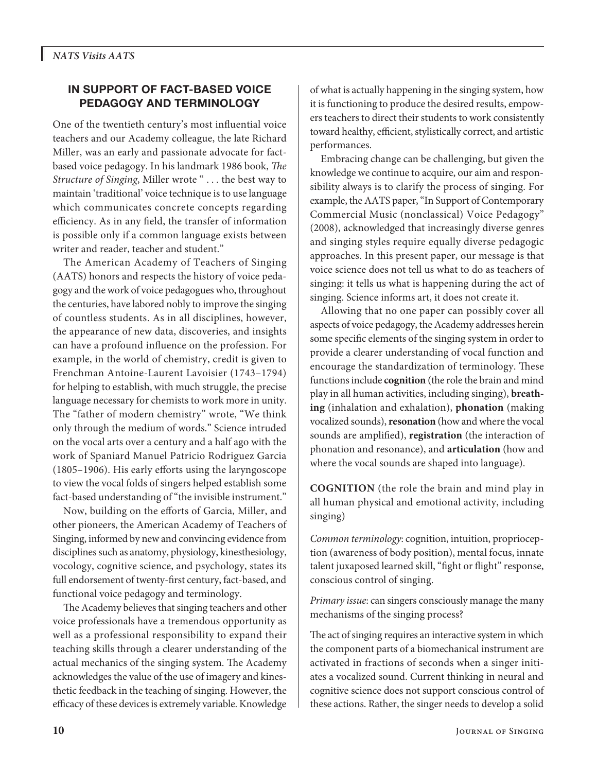## IN SUPPORT OF FACT-BASED VOICE PEDAGOGY AND TERMINOLOGY

One of the twentieth century's most influential voice teachers and our Academy colleague, the late Richard Miller, was an early and passionate advocate for factbased voice pedagogy. In his landmark 1986 book, *The Structure of Singing*, Miller wrote " . . . the best way to maintain 'traditional' voice technique is to use language which communicates concrete concepts regarding efficiency. As in any field, the transfer of information is possible only if a common language exists between writer and reader, teacher and student."

The American Academy of Teachers of Singing (AATS) honors and respects the history of voice pedagogy and the work of voice pedagogues who, throughout the centuries, have labored nobly to improve the singing of countless students. As in all disciplines, however, the appearance of new data, discoveries, and insights can have a profound influence on the profession. For example, in the world of chemistry, credit is given to Frenchman Antoine-Laurent Lavoisier (1743–1794) for helping to establish, with much struggle, the precise language necessary for chemists to work more in unity. The "father of modern chemistry" wrote, "We think only through the medium of words." Science intruded on the vocal arts over a century and a half ago with the work of Spaniard Manuel Patricio Rodriguez Garcia  $(1805-1906)$ . His early efforts using the laryngoscope to view the vocal folds of singers helped establish some fact-based understanding of "the invisible instrument."

Now, building on the efforts of Garcia, Miller, and other pioneers, the American Academy of Teachers of Singing, informed by new and convincing evidence from disciplines such as anatomy, physiology, kinesthesiology, vocology, cognitive science, and psychology, states its full endorsement of twenty-first century, fact-based, and functional voice pedagogy and terminology.

The Academy believes that singing teachers and other voice professionals have a tremendous opportunity as well as a professional responsibility to expand their teaching skills through a clearer understanding of the actual mechanics of the singing system. The Academy acknowledges the value of the use of imagery and kinesthetic feedback in the teaching of singing. However, the efficacy of these devices is extremely variable. Knowledge of what is actually happening in the singing system, how it is functioning to produce the desired results, empowers teachers to direct their students to work consistently toward healthy, efficient, stylistically correct, and artistic performances.

Embracing change can be challenging, but given the knowledge we continue to acquire, our aim and responsibility always is to clarify the process of singing. For example, the AATS paper, "In Support of Contemporary Commercial Music (nonclassical) Voice Pedagogy" (2008), acknowledged that increasingly diverse genres and singing styles require equally diverse pedagogic approaches. In this present paper, our message is that voice science does not tell us what to do as teachers of singing: it tells us what is happening during the act of singing. Science informs art, it does not create it.

Allowing that no one paper can possibly cover all aspects of voice pedagogy, the Academy addresses herein some specific elements of the singing system in order to provide a clearer understanding of vocal function and encourage the standardization of terminology. These functions include **cognition** (the role the brain and mind play in all human activities, including singing), **breathing** (inhalation and exhalation), **phonation** (making vocalized sounds), **resonation** (how and where the vocal sounds are amplified), **registration** (the interaction of phonation and resonance), and **articulation** (how and where the vocal sounds are shaped into language).

**COGNITION** (the role the brain and mind play in all human physical and emotional activity, including singing)

*Common terminology*: cognition, intuition, proprioception (awareness of body position), mental focus, innate talent juxaposed learned skill, "fight or flight" response, conscious control of singing.

*Primary issue*: can singers consciously manage the many mechanisms of the singing process?

The act of singing requires an interactive system in which the component parts of a biomechanical instrument are activated in fractions of seconds when a singer initiates a vocalized sound. Current thinking in neural and cognitive science does not support conscious control of these actions. Rather, the singer needs to develop a solid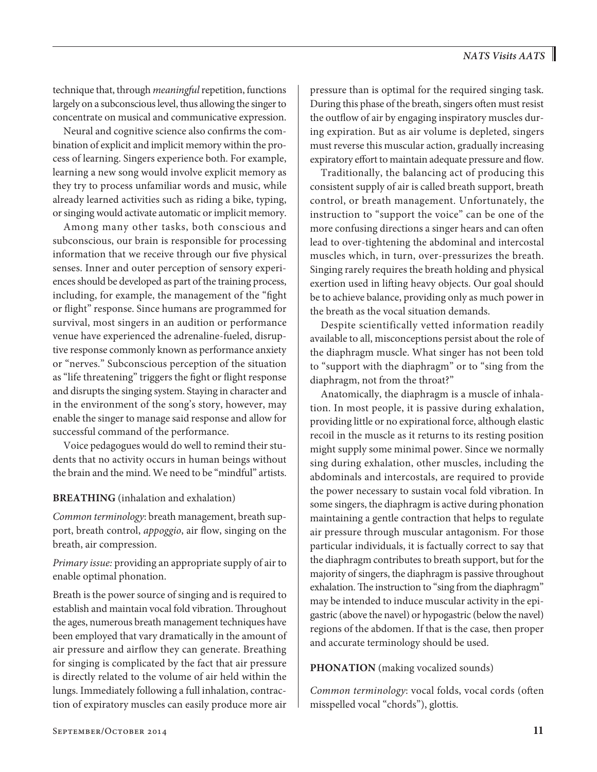technique that, through *meaningful* repetition, functions largely on a subconscious level, thus allowing the singer to concentrate on musical and communicative expression.

Neural and cognitive science also confirms the combination of explicit and implicit memory within the process of learning. Singers experience both. For example, learning a new song would involve explicit memory as they try to process unfamiliar words and music, while already learned activities such as riding a bike, typing, or singing would activate automatic or implicit memory.

Among many other tasks, both conscious and subconscious, our brain is responsible for processing information that we receive through our five physical senses. Inner and outer perception of sensory experiences should be developed as part of the training process, including, for example, the management of the "fight or flight" response. Since humans are programmed for survival, most singers in an audition or performance venue have experienced the adrenaline-fueled, disruptive response commonly known as performance anxiety or "nerves." Subconscious perception of the situation as "life threatening" triggers the fight or flight response and disrupts the singing system. Staying in character and in the environment of the song's story, however, may enable the singer to manage said response and allow for successful command of the performance.

Voice pedagogues would do well to remind their students that no activity occurs in human beings without the brain and the mind. We need to be "mindful" artists.

### **BREATHING** (inhalation and exhalation)

*Common terminology*: breath management, breath support, breath control, *appoggio*, air flow, singing on the breath, air compression.

*Primary issue:* providing an appropriate supply of air to enable optimal phonation.

Breath is the power source of singing and is required to establish and maintain vocal fold vibration. Throughout the ages, numerous breath management techniques have been employed that vary dramatically in the amount of air pressure and airflow they can generate. Breathing for singing is complicated by the fact that air pressure is directly related to the volume of air held within the lungs. Immediately following a full inhalation, contraction of expiratory muscles can easily produce more air pressure than is optimal for the required singing task. During this phase of the breath, singers often must resist the outflow of air by engaging inspiratory muscles during expiration. But as air volume is depleted, singers must reverse this muscular action, gradually increasing expiratory effort to maintain adequate pressure and flow.

Traditionally, the balancing act of producing this consistent supply of air is called breath support, breath control, or breath management. Unfortunately, the instruction to "support the voice" can be one of the more confusing directions a singer hears and can often lead to over-tightening the abdominal and intercostal muscles which, in turn, over-pressurizes the breath. Singing rarely requires the breath holding and physical exertion used in lifting heavy objects. Our goal should be to achieve balance, providing only as much power in the breath as the vocal situation demands.

Despite scientifically vetted information readily available to all, misconceptions persist about the role of the diaphragm muscle. What singer has not been told to "support with the diaphragm" or to "sing from the diaphragm, not from the throat?"

Anatomically, the diaphragm is a muscle of inhalation. In most people, it is passive during exhalation, providing little or no expirational force, although elastic recoil in the muscle as it returns to its resting position might supply some minimal power. Since we normally sing during exhalation, other muscles, including the abdominals and intercostals, are required to provide the power necessary to sustain vocal fold vibration. In some singers, the diaphragm is active during phonation maintaining a gentle contraction that helps to regulate air pressure through muscular antagonism. For those particular individuals, it is factually correct to say that the diaphragm contributes to breath support, but for the majority of singers, the diaphragm is passive throughout exhalation. The instruction to "sing from the diaphragm" may be intended to induce muscular activity in the epigastric (above the navel) or hypogastric (below the navel) regions of the abdomen. If that is the case, then proper and accurate terminology should be used.

### **PHONATION** (making vocalized sounds)

Common terminology: vocal folds, vocal cords (often misspelled vocal "chords"), glottis.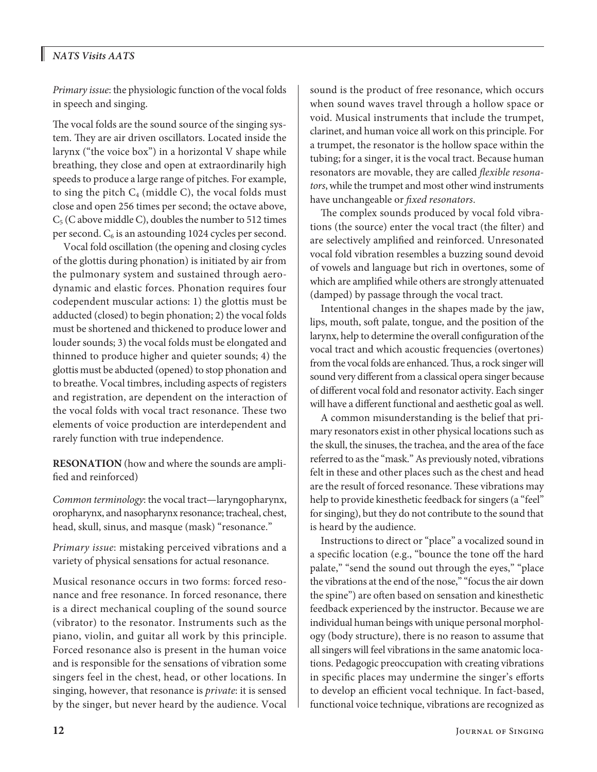# *NATS Visits AATS*

*Primary issue*: the physiologic function of the vocal folds in speech and singing.

The vocal folds are the sound source of the singing system. They are air driven oscillators. Located inside the larynx ("the voice box") in a horizontal V shape while breathing, they close and open at extraordinarily high speeds to produce a large range of pitches. For example, to sing the pitch  $C_4$  (middle C), the vocal folds must close and open 256 times per second; the octave above,  $C<sub>5</sub>$  (C above middle C), doubles the number to 512 times per second.  $C_6$  is an astounding 1024 cycles per second.

Vocal fold oscillation (the opening and closing cycles of the glottis during phonation) is initiated by air from the pulmonary system and sustained through aerodynamic and elastic forces. Phonation requires four codependent muscular actions: 1) the glottis must be adducted (closed) to begin phonation; 2) the vocal folds must be shortened and thickened to produce lower and louder sounds; 3) the vocal folds must be elongated and thinned to produce higher and quieter sounds; 4) the glottis must be abducted (opened) to stop phonation and to breathe. Vocal timbres, including aspects of registers and registration, are dependent on the interaction of the vocal folds with vocal tract resonance. These two elements of voice production are interdependent and rarely function with true independence.

**RESONATION** (how and where the sounds are ampli fied and reinforced)

*Common terminology*: the vocal tract—laryngopharynx, oropharynx, and nasopharynx resonance; tracheal, chest, head, skull, sinus, and masque (mask) "resonance."

*Primary issue*: mistaking perceived vibrations and a variety of physical sensations for actual resonance.

Musical resonance occurs in two forms: forced resonance and free resonance. In forced resonance, there is a direct mechanical coupling of the sound source (vibrator) to the resonator. Instruments such as the piano, violin, and guitar all work by this principle. Forced resonance also is present in the human voice and is responsible for the sensations of vibration some singers feel in the chest, head, or other locations. In singing, however, that resonance is *private*: it is sensed by the singer, but never heard by the audience. Vocal sound is the product of free resonance, which occurs when sound waves travel through a hollow space or void. Musical instruments that include the trumpet, clarinet, and human voice all work on this principle. For a trumpet, the resonator is the hollow space within the tubing; for a singer, it is the vocal tract. Because human resonators are movable, they are called *flexible resonators*, while the trumpet and most other wind instruments have unchangeable or *fixed resonators*.

The complex sounds produced by vocal fold vibrations (the source) enter the vocal tract (the filter) and are selectively amplified and reinforced. Unresonated vocal fold vibration resembles a buzzing sound devoid of vowels and language but rich in overtones, some of which are amplified while others are strongly attenuated (damped) by passage through the vocal tract.

Intentional changes in the shapes made by the jaw, lips, mouth, soft palate, tongue, and the position of the larynx, help to determine the overall configuration of the vocal tract and which acoustic frequencies (overtones) from the vocal folds are enhanced. Thus, a rock singer will sound very different from a classical opera singer because of different vocal fold and resonator activity. Each singer will have a different functional and aesthetic goal as well.

A common misunderstanding is the belief that primary resonators exist in other physical locations such as the skull, the sinuses, the trachea, and the area of the face referred to as the "mask." As previously noted, vibrations felt in these and other places such as the chest and head are the result of forced resonance. These vibrations may help to provide kinesthetic feedback for singers (a "feel" for singing), but they do not contribute to the sound that is heard by the audience.

Instructions to direct or "place" a vocalized sound in a specific location (e.g., "bounce the tone off the hard palate," "send the sound out through the eyes," "place the vibrations at the end of the nose," "focus the air down the spine") are often based on sensation and kinesthetic feedback experienced by the instructor. Because we are individual human beings with unique personal morphology (body structure), there is no reason to assume that all singers will feel vibrations in the same anatomic locations. Pedagogic preoccupation with creating vibrations in specific places may undermine the singer's efforts to develop an efficient vocal technique. In fact-based, functional voice technique, vibrations are recognized as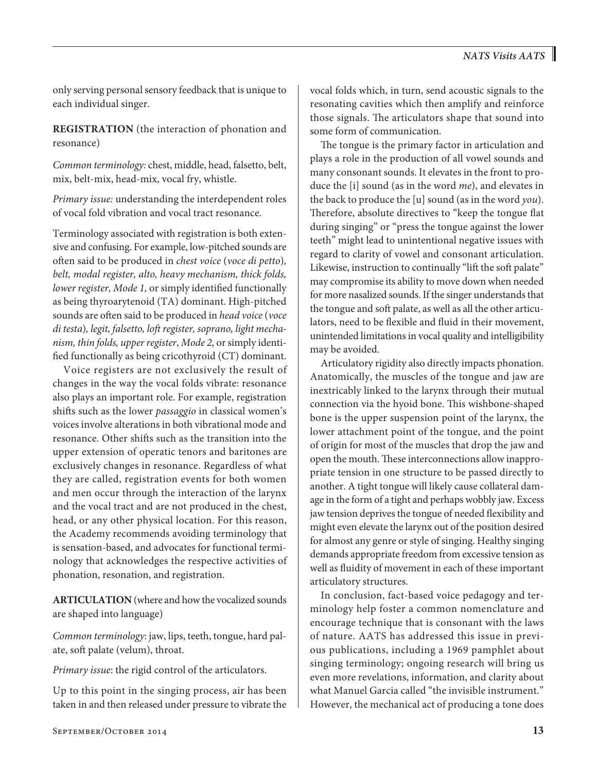only serving personal sensory feedback that is unique to each individual singer.

**REGISTRATION** (the interaction of phonation and resonance)

*Common terminology:* chest, middle, head, falsetto, belt, mix, belt-mix, head-mix, vocal fry, whistle.

*Primary issue:* understanding the interdependent roles of vocal fold vibration and vocal tract resonance.

Terminology associated with registration is both extensive and confusing. For example, low-pitched sounds are often said to be produced in *chest voice* (*voce di petto*), *belt, modal register, alto, heavy mechanism, thick folds,*  lower register, Mode 1, or simply identified functionally as being thyroarytenoid (TA) dominant. High-pitched sounds are often said to be produced in *head voice* (*voce* di testa), legit, falsetto, loft register, soprano, light mecha*nism, thin folds, upper register*, *Mode 2,* or simply identi fied functionally as being cricothyroid (CT) dominant.

Voice registers are not exclusively the result of changes in the way the vocal folds vibrate: resonance also plays an important role. For example, registration shifts such as the lower *passaggio* in classical women's voices involve alterations in both vibrational mode and resonance. Other shifts such as the transition into the upper extension of operatic tenors and baritones are exclusively changes in resonance. Regardless of what they are called, registration events for both women and men occur through the interaction of the larynx and the vocal tract and are not produced in the chest, head, or any other physical location. For this reason, the Academy recommends avoiding terminology that is sensation-based, and advocates for functional terminology that acknowledges the respective activities of phonation, resonation, and registration.

**ARTICULATION** (where and how the vocalized sounds are shaped into language)

*Common terminology*: jaw, lips, teeth, tongue, hard palate, soft palate (velum), throat.

*Primary issue*: the rigid control of the articulators.

Up to this point in the singing process, air has been taken in and then released under pressure to vibrate the vocal folds which, in turn, send acoustic signals to the resonating cavities which then amplify and reinforce those signals. The articulators shape that sound into some form of communication.

The tongue is the primary factor in articulation and plays a role in the production of all vowel sounds and many consonant sounds. It elevates in the front to produce the [i] sound (as in the word *me*), and elevates in the back to produce the [u] sound (as in the word *you*). Therefore, absolute directives to "keep the tongue flat during singing" or "press the tongue against the lower teeth" might lead to unintentional negative issues with regard to clarity of vowel and consonant articulation. Likewise, instruction to continually "lift the soft palate" may compromise its ability to move down when needed for more nasalized sounds. If the singer understands that the tongue and soft palate, as well as all the other articulators, need to be flexible and fluid in their movement, unintended limitations in vocal quality and intelligibility may be avoided.

Articulatory rigidity also directly impacts phonation. Anatomically, the muscles of the tongue and jaw are inextricably linked to the larynx through their mutual connection via the hyoid bone. This wishbone-shaped bone is the upper suspension point of the larynx, the lower attachment point of the tongue, and the point of origin for most of the muscles that drop the jaw and open the mouth. These interconnections allow inappropriate tension in one structure to be passed directly to another. A tight tongue will likely cause collateral damage in the form of a tight and perhaps wobbly jaw. Excess jaw tension deprives the tongue of needed flexibility and might even elevate the larynx out of the position desired for almost any genre or style of singing. Healthy singing demands appropriate freedom from excessive tension as well as fluidity of movement in each of these important articulatory structures.

In conclusion, fact-based voice pedagogy and terminology help foster a common nomenclature and encourage technique that is consonant with the laws of nature. AATS has addressed this issue in previous publications, including a 1969 pamphlet about singing terminology; ongoing research will bring us even more revelations, information, and clarity about what Manuel Garcia called "the invisible instrument." However, the mechanical act of producing a tone does